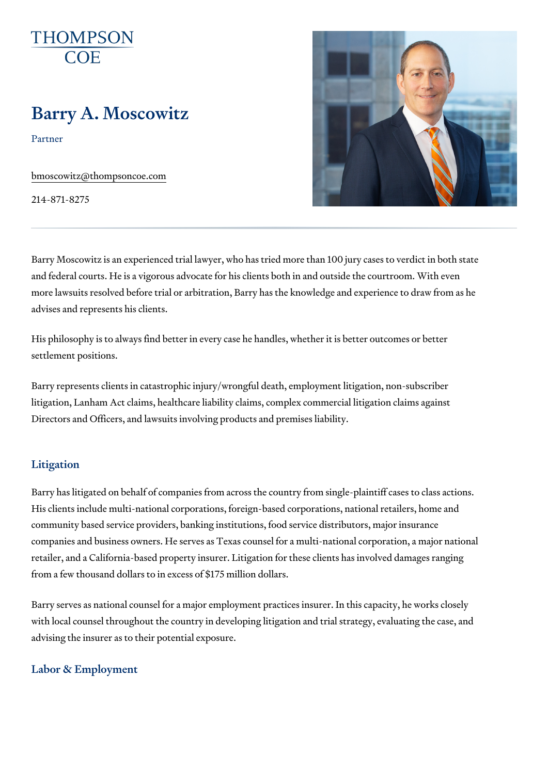# Barry A. Moscowitz

Partner

[bmoscowitz@thomps](mailto:bmoscowitz@thompsoncoe.com)oncoe.com

214-871-8275

Barry Moscowitz is an experienced trial lawyer, who has tried more than 10 and federal courts. He is a vigorous advocate for his clients both in and o more lawsuits resolved before trial or arbitration, Barry has the knowledge advises and represents his clients.

His philosophy is to always find better in every case he handles, whether i settlement positions.

Barry represents clients in catastrophic injury/wrongful death, employment litigation, Lanham Act claims, healthcare liability claims, complex commer Directors and Officers, and lawsuits involving products and premises liabil

#### Litigation

Barry has litigated on behalf of companies from across the country from si His clients include multi-national corporations, foreign-based corporations community based service providers, banking institutions, food service dist companies and business owners. He serves as Texas counsel for a multi-na retailer, and a California-based property insurer. Litigation for these clien from a few thousand dollars to in excess of \$175 million dollars.

Barry serves as national counsel for a major employment practices insurer with local counsel throughout the country in developing litigation and trial advising the insurer as to their potential exposure.

#### Labor & Employment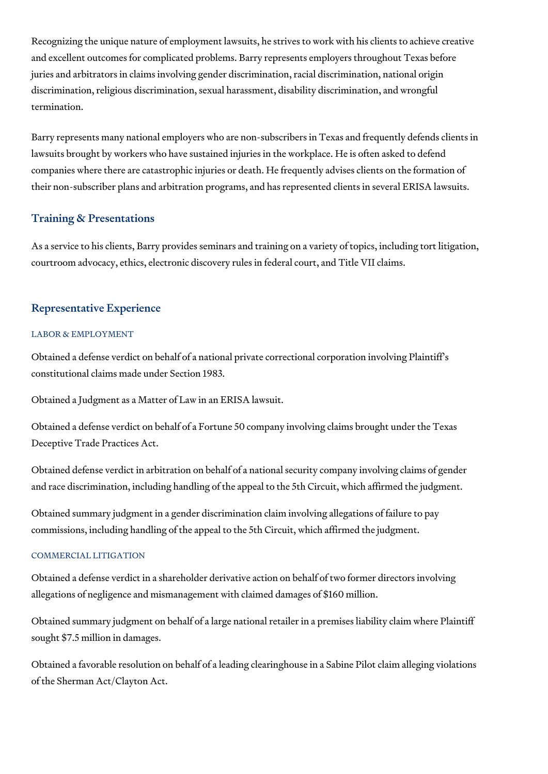Recognizing the unique nature of employment lawsuits, he strives to work with his clients to achieve creative and excellent outcomes for complicated problems. Barry represents employers throughout Texas before juries and arbitrators in claims involving gender discrimination, racial discrimination, national origin discrimination, religious discrimination, sexual harassment, disability discrimination, and wrongful termination.

Barry represents many national employers who are non-subscribers in Texas and frequently defends clients in lawsuits brought by workers who have sustained injuries in the workplace. He is often asked to defend companies where there are catastrophic injuries or death. He frequently advises clients on the formation of their non-subscriber plans and arbitration programs, and has represented clients in several ERISA lawsuits.

## Training & Presentations

As a service to his clients, Barry provides seminars and training on a variety of topics, including tort litigation, courtroom advocacy, ethics, electronic discovery rules in federal court, and Title VII claims.

## Representative Experience

#### LABOR & EMPLOYMENT

Obtained a defense verdict on behalf of a national private correctional corporation involving Plaintiff's constitutional claims made under Section 1983.

Obtained a Judgment as a Matter of Law in an ERISA lawsuit.

Obtained a defense verdict on behalf of a Fortune 50 company involving claims brought under the Texas Deceptive Trade Practices Act.

Obtained defense verdict in arbitration on behalf of a national security company involving claims of gender and race discrimination, including handling of the appeal to the 5th Circuit, which affirmed the judgment.

Obtained summary judgment in a gender discrimination claim involving allegations of failure to pay commissions, including handling of the appeal to the 5th Circuit, which affirmed the judgment.

#### COMMERCIAL LITIGATION

Obtained a defense verdict in a shareholder derivative action on behalf of two former directors involving allegations of negligence and mismanagement with claimed damages of \$160 million.

Obtained summary judgment on behalf of a large national retailer in a premises liability claim where Plaintiff sought \$7.5 million in damages.

Obtained a favorable resolution on behalf of a leading clearinghouse in a Sabine Pilot claim alleging violations of the Sherman Act/Clayton Act.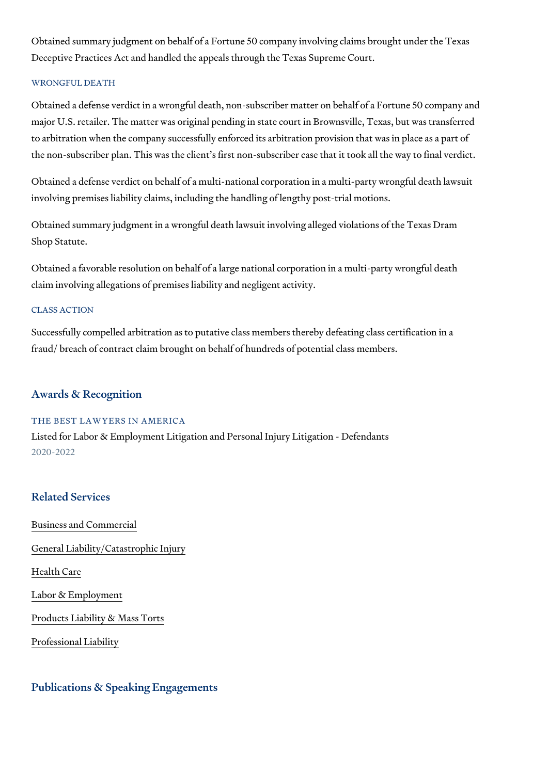Obtained summary judgment on behalf of a Fortune 50 company involving c Deceptive Practices Act and handled the appeals through the Texas Suprer

#### WRONGFUL DEATH

Obtained a defense verdict in a wrongful death, non-subscriber matter on I major U.S. retailer. The matter was original pending in state court in Brow to arbitration when the company successfully enforced its arbitration provi the non-subscriber plan. This was the client s first non-subscriber case th

Obtained a defense verdict on behalf of a multi-national corporation in a m involving premises liability claims, including the handling of lengthy post-

Obtained summary judgment in a wrongful death lawsuit involving alleged v Shop Statute.

Obtained a favorable resolution on behalf of a large national corporation i claim involving allegations of premises liability and negligent activity.

#### CLASS ACTION

Successfully compelled arbitration as to putative class members thereby d fraud/ breach of contract claim brought on behalf of hundreds of potential

#### Awards & Recognition

THE BEST LAWYERS IN AMERICA Listed for Labor & Employment Litigation and Personal Injury Litigation - D 2020-2022

#### Related Services

[Business and C](https://www.thompsoncoe.com/people/barry-a-moscowitz/)ommercial

#### [General Liability/Catas](https://www.thompsoncoe.com/people/barry-a-moscowitz/)trophic Injury

[Health](https://www.thompsoncoe.com/people/barry-a-moscowitz/) Care

[Labor & Empl](https://www.thompsoncoe.com/people/barry-a-moscowitz/)oyment

[Products Liability &](https://www.thompsoncoe.com/people/barry-a-moscowitz/) Mass Torts

[Professional](https://www.thompsoncoe.com/people/barry-a-moscowitz/) Liability

Publications & Speaking Engagements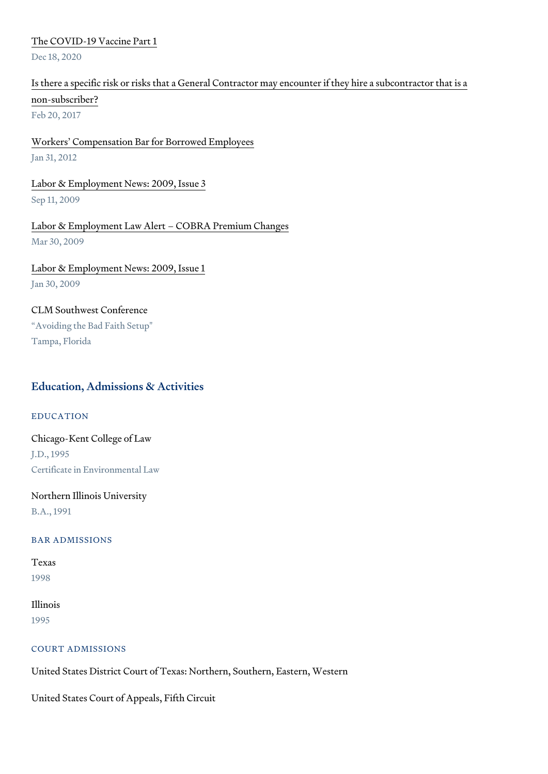#### [The COVID-19 Vac](https://www.thompsoncoe.com/resources/publications/the-covid-19-vaccine-part-1/)cine Part 1

Dec 18, 2020

# [Is there a specific risk or risks that a General Contractor may](https://www.thompsoncoe.com/resources/publications/is-there-a-specific-risk-or-risks-that-a-general-contractor-may-encounter-if-they-hire-a-subcontractor-that-is-a-non-subscriber/) encounter if [non-subsc](https://www.thompsoncoe.com/resources/publications/is-there-a-specific-risk-or-risks-that-a-general-contractor-may-encounter-if-they-hire-a-subcontractor-that-is-a-non-subscriber/)riber?

Feb 20, 2017

#### [Workers Compensation Bar for B](https://www.thompsoncoe.com/resources/publications/workers-compensation-bar-for-borrowed-employees/)orrowed Employees Jan 31, 2012

# [Labor & Employment New](https://www.thompsoncoe.com/resources/publications/labor-employment-news-2009-issue-3/)s: 2009, Issue 3

Sep 11, 2009

### [Labor & Employment Law Alert COBR](https://www.thompsoncoe.com/resources/publications/labor-employment-law-alert-cobra-premium-changes/)A Premium Changes Mar 30, 2009

# [Labor & Employment New](https://www.thompsoncoe.com/resources/publications/labor-employment-news-2009-issue-1/)s: 2009, Issue 1

Jan 30, 2009

#### CLM Southwest Conference

 Avoiding the Bad Faith Setup" Tampa, Florida

### Education, Admissions & Activities

EDUCATION

# Chicago-Kent College of Law J.D., 1995 Certificate in Environmental Law

# Northern Illinois University

B.A., 1991

#### BAR ADMISSIONS

Texas 1998

### Illinois 1995

#### COURT ADMISSIONS

United States District Court of Texas: Northern, Southern, Eastern, Western

United States Court of Appeals, Fifth Circuit